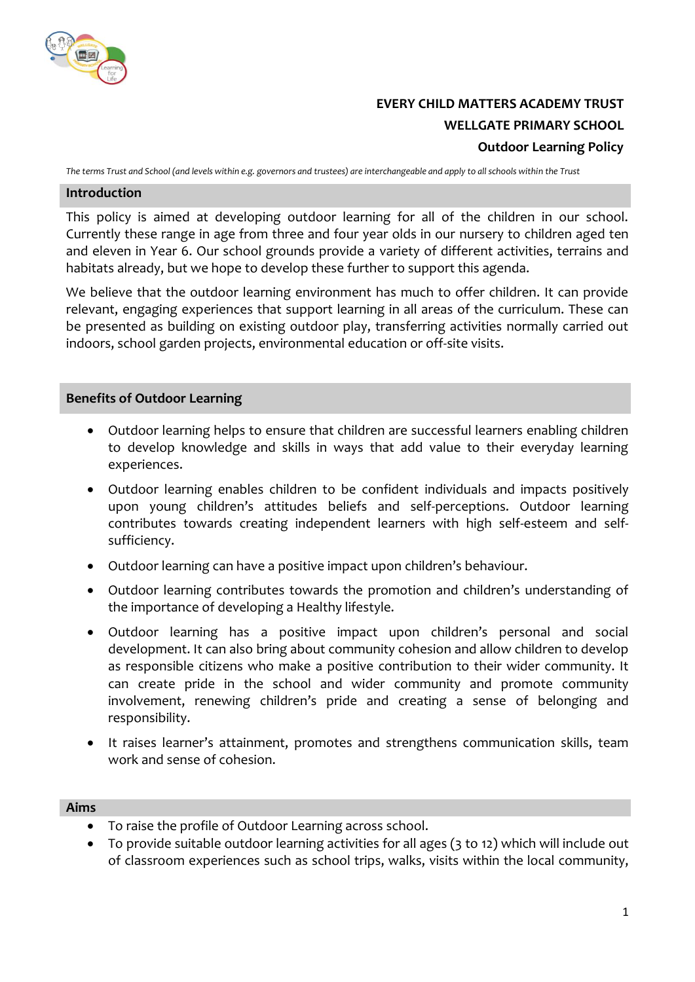

# **EVERY CHILD MATTERS ACADEMY TRUST WELLGATE PRIMARY SCHOOL Outdoor Learning Policy**

*The terms Trust and School (and levels within e.g. governors and trustees) are interchangeable and apply to all schools within the Trust*

#### **Introduction**

This policy is aimed at developing outdoor learning for all of the children in our school. Currently these range in age from three and four year olds in our nursery to children aged ten and eleven in Year 6. Our school grounds provide a variety of different activities, terrains and habitats already, but we hope to develop these further to support this agenda.

We believe that the outdoor learning environment has much to offer children. It can provide relevant, engaging experiences that support learning in all areas of the curriculum. These can be presented as building on existing outdoor play, transferring activities normally carried out indoors, school garden projects, environmental education or off-site visits.

#### **Benefits of Outdoor Learning**

- Outdoor learning helps to ensure that children are successful learners enabling children to develop knowledge and skills in ways that add value to their everyday learning experiences.
- Outdoor learning enables children to be confident individuals and impacts positively upon young children's attitudes beliefs and self-perceptions. Outdoor learning contributes towards creating independent learners with high self-esteem and selfsufficiency.
- Outdoor learning can have a positive impact upon children's behaviour.
- Outdoor learning contributes towards the promotion and children's understanding of the importance of developing a Healthy lifestyle.
- Outdoor learning has a positive impact upon children's personal and social development. It can also bring about community cohesion and allow children to develop as responsible citizens who make a positive contribution to their wider community. It can create pride in the school and wider community and promote community involvement, renewing children's pride and creating a sense of belonging and responsibility.
- It raises learner's attainment, promotes and strengthens communication skills, team work and sense of cohesion.

#### **Aims**

- To raise the profile of Outdoor Learning across school.
- To provide suitable outdoor learning activities for all ages (3 to 12) which will include out of classroom experiences such as school trips, walks, visits within the local community,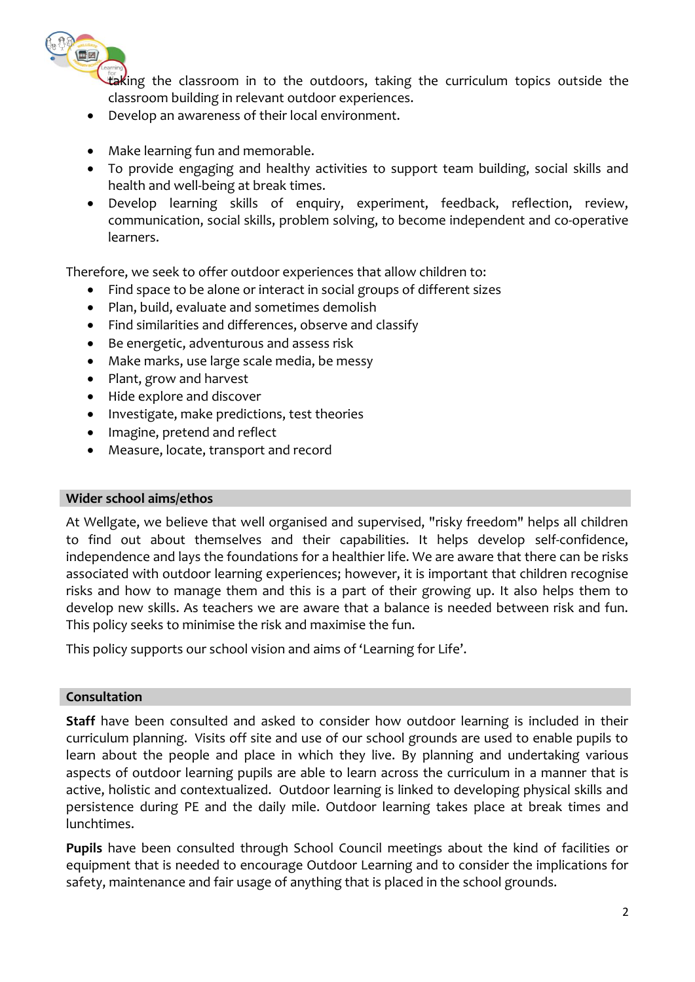

taking the classroom in to the outdoors, taking the curriculum topics outside the classroom building in relevant outdoor experiences.

- Develop an awareness of their local environment.
- Make learning fun and memorable.
- To provide engaging and healthy activities to support team building, social skills and health and well-being at break times.
- Develop learning skills of enquiry, experiment, feedback, reflection, review, communication, social skills, problem solving, to become independent and co‐operative learners.

Therefore, we seek to offer outdoor experiences that allow children to:

- Find space to be alone or interact in social groups of different sizes
- Plan, build, evaluate and sometimes demolish
- Find similarities and differences, observe and classify
- Be energetic, adventurous and assess risk
- Make marks, use large scale media, be messy
- Plant, grow and harvest
- Hide explore and discover
- Investigate, make predictions, test theories
- Imagine, pretend and reflect
- Measure, locate, transport and record

#### **Wider school aims/ethos**

At Wellgate, we believe that well organised and supervised, "risky freedom" helps all children to find out about themselves and their capabilities. It helps develop self-confidence, independence and lays the foundations for a healthier life. We are aware that there can be risks associated with outdoor learning experiences; however, it is important that children recognise risks and how to manage them and this is a part of their growing up. It also helps them to develop new skills. As teachers we are aware that a balance is needed between risk and fun. This policy seeks to minimise the risk and maximise the fun.

This policy supports our school vision and aims of 'Learning for Life'.

## **Consultation**

**Staff** have been consulted and asked to consider how outdoor learning is included in their curriculum planning. Visits off site and use of our school grounds are used to enable pupils to learn about the people and place in which they live. By planning and undertaking various aspects of outdoor learning pupils are able to learn across the curriculum in a manner that is active, holistic and contextualized. Outdoor learning is linked to developing physical skills and persistence during PE and the daily mile. Outdoor learning takes place at break times and lunchtimes.

**Pupils** have been consulted through School Council meetings about the kind of facilities or equipment that is needed to encourage Outdoor Learning and to consider the implications for safety, maintenance and fair usage of anything that is placed in the school grounds.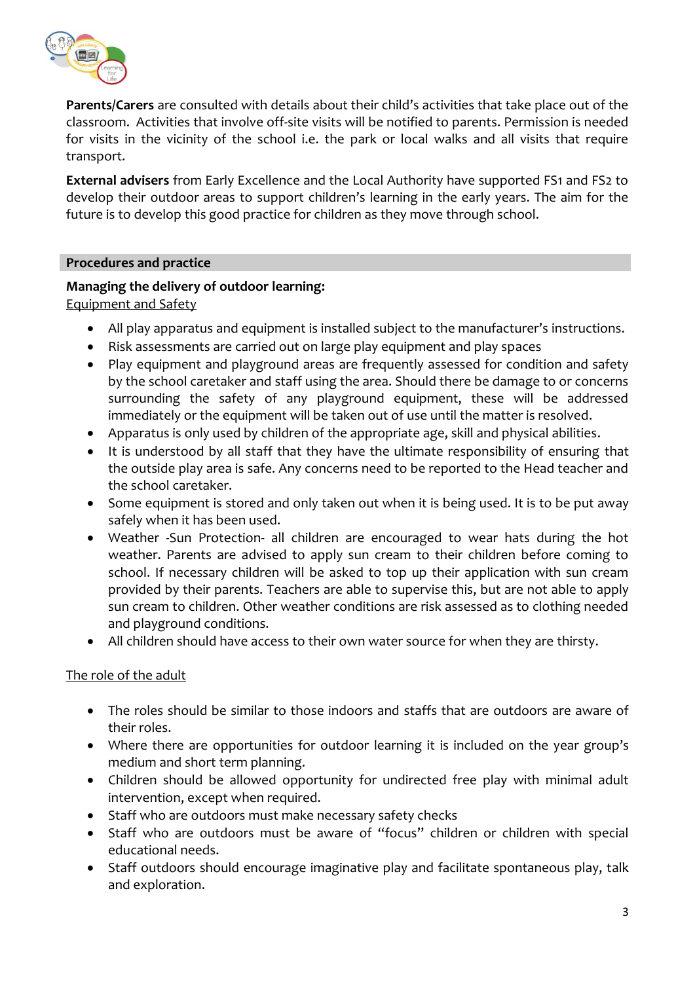

**Parents/Carers** are consulted with details about their child's activities that take place out of the classroom. Activities that involve off-site visits will be notified to parents. Permission is needed for visits in the vicinity of the school i.e. the park or local walks and all visits that require transport.

**External advisers** from Early Excellence and the Local Authority have supported FS1 and FS2 to develop their outdoor areas to support children's learning in the early years. The aim for the future is to develop this good practice for children as they move through school.

### **Procedures and practice**

## **Managing the delivery of outdoor learning:**

Equipment and Safety

- All play apparatus and equipment is installed subject to the manufacturer's instructions.
- Risk assessments are carried out on large play equipment and play spaces
- Play equipment and playground areas are frequently assessed for condition and safety by the school caretaker and staff using the area. Should there be damage to or concerns surrounding the safety of any playground equipment, these will be addressed immediately or the equipment will be taken out of use until the matter is resolved.
- Apparatus is only used by children of the appropriate age, skill and physical abilities.
- It is understood by all staff that they have the ultimate responsibility of ensuring that the outside play area is safe. Any concerns need to be reported to the Head teacher and the school caretaker.
- Some equipment is stored and only taken out when it is being used. It is to be put away safely when it has been used.
- Weather -Sun Protection- all children are encouraged to wear hats during the hot weather. Parents are advised to apply sun cream to their children before coming to school. If necessary children will be asked to top up their application with sun cream provided by their parents. Teachers are able to supervise this, but are not able to apply sun cream to children. Other weather conditions are risk assessed as to clothing needed and playground conditions.
- All children should have access to their own water source for when they are thirsty.

## The role of the adult

- The roles should be similar to those indoors and staffs that are outdoors are aware of their roles.
- Where there are opportunities for outdoor learning it is included on the year group's medium and short term planning.
- Children should be allowed opportunity for undirected free play with minimal adult intervention, except when required.
- Staff who are outdoors must make necessary safety checks
- Staff who are outdoors must be aware of "focus" children or children with special educational needs.
- Staff outdoors should encourage imaginative play and facilitate spontaneous play, talk and exploration.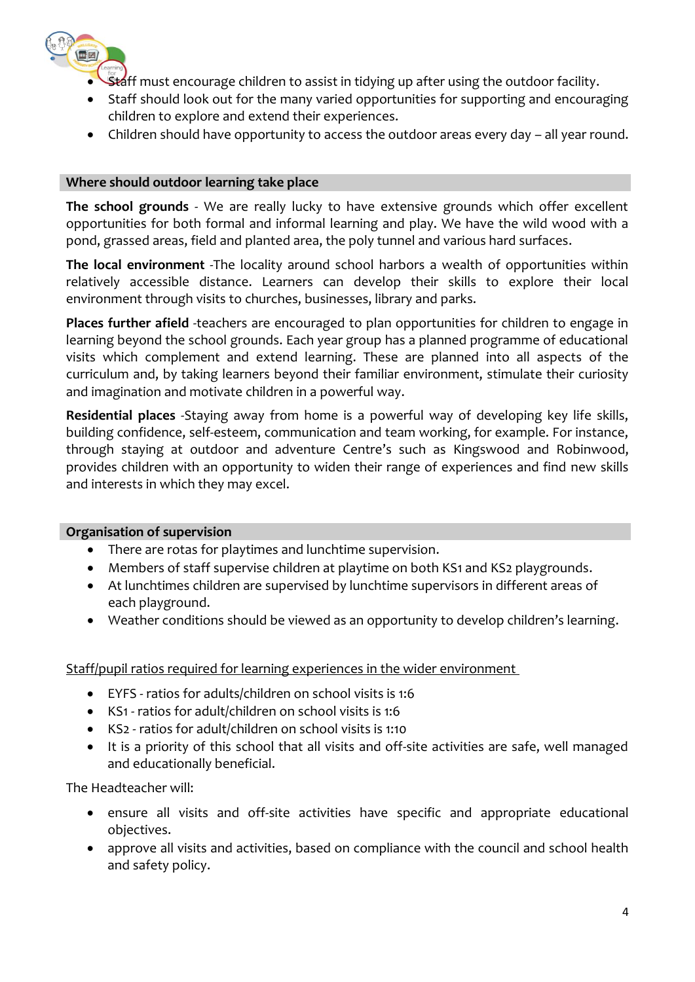

- **Staff must encourage children to assist in tidying up after using the outdoor facility.**
- Staff should look out for the many varied opportunities for supporting and encouraging children to explore and extend their experiences.
- Children should have opportunity to access the outdoor areas every day all year round.

## **Where should outdoor learning take place**

**The school grounds** - We are really lucky to have extensive grounds which offer excellent opportunities for both formal and informal learning and play. We have the wild wood with a pond, grassed areas, field and planted area, the poly tunnel and various hard surfaces.

**The local environment** -The locality around school harbors a wealth of opportunities within relatively accessible distance. Learners can develop their skills to explore their local environment through visits to churches, businesses, library and parks.

**Places further afield** -teachers are encouraged to plan opportunities for children to engage in learning beyond the school grounds. Each year group has a planned programme of educational visits which complement and extend learning. These are planned into all aspects of the curriculum and, by taking learners beyond their familiar environment, stimulate their curiosity and imagination and motivate children in a powerful way.

**Residential places** -Staying away from home is a powerful way of developing key life skills, building confidence, self-esteem, communication and team working, for example. For instance, through staying at outdoor and adventure Centre's such as Kingswood and Robinwood, provides children with an opportunity to widen their range of experiences and find new skills and interests in which they may excel.

## **Organisation of supervision**

- There are rotas for playtimes and lunchtime supervision.
- Members of staff supervise children at playtime on both KS1 and KS2 playgrounds.
- At lunchtimes children are supervised by lunchtime supervisors in different areas of each playground.
- Weather conditions should be viewed as an opportunity to develop children's learning.

Staff/pupil ratios required for learning experiences in the wider environment

- EYFS ratios for adults/children on school visits is 1:6
- KS1 ratios for adult/children on school visits is 1:6
- KS2 ratios for adult/children on school visits is 1:10
- It is a priority of this school that all visits and off-site activities are safe, well managed and educationally beneficial.

The Headteacher will:

- ensure all visits and off-site activities have specific and appropriate educational objectives.
- approve all visits and activities, based on compliance with the council and school health and safety policy.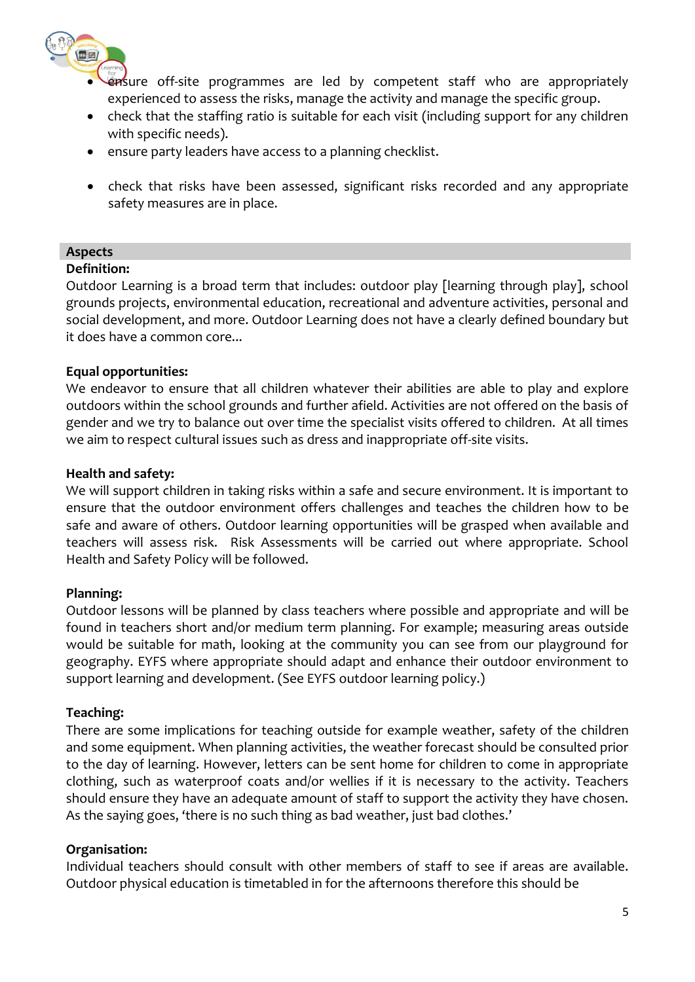

- ensure off-site programmes are led by competent staff who are appropriately experienced to assess the risks, manage the activity and manage the specific group.
- check that the staffing ratio is suitable for each visit (including support for any children with specific needs).
- ensure party leaders have access to a planning checklist.
- check that risks have been assessed, significant risks recorded and any appropriate safety measures are in place.

## **Aspects**

### **Definition:**

Outdoor Learning is a broad term that includes: outdoor play [learning through play], school grounds projects, environmental education, recreational and adventure activities, personal and social development, and more. Outdoor Learning does not have a clearly defined boundary but it does have a common core...

### **Equal opportunities:**

We endeavor to ensure that all children whatever their abilities are able to play and explore outdoors within the school grounds and further afield. Activities are not offered on the basis of gender and we try to balance out over time the specialist visits offered to children. At all times we aim to respect cultural issues such as dress and inappropriate off-site visits.

### **Health and safety:**

We will support children in taking risks within a safe and secure environment. It is important to ensure that the outdoor environment offers challenges and teaches the children how to be safe and aware of others. Outdoor learning opportunities will be grasped when available and teachers will assess risk. Risk Assessments will be carried out where appropriate. School Health and Safety Policy will be followed.

## **Planning:**

Outdoor lessons will be planned by class teachers where possible and appropriate and will be found in teachers short and/or medium term planning. For example; measuring areas outside would be suitable for math, looking at the community you can see from our playground for geography. EYFS where appropriate should adapt and enhance their outdoor environment to support learning and development. (See EYFS outdoor learning policy.)

## **Teaching:**

There are some implications for teaching outside for example weather, safety of the children and some equipment. When planning activities, the weather forecast should be consulted prior to the day of learning. However, letters can be sent home for children to come in appropriate clothing, such as waterproof coats and/or wellies if it is necessary to the activity. Teachers should ensure they have an adequate amount of staff to support the activity they have chosen. As the saying goes, 'there is no such thing as bad weather, just bad clothes.'

#### **Organisation:**

Individual teachers should consult with other members of staff to see if areas are available. Outdoor physical education is timetabled in for the afternoons therefore this should be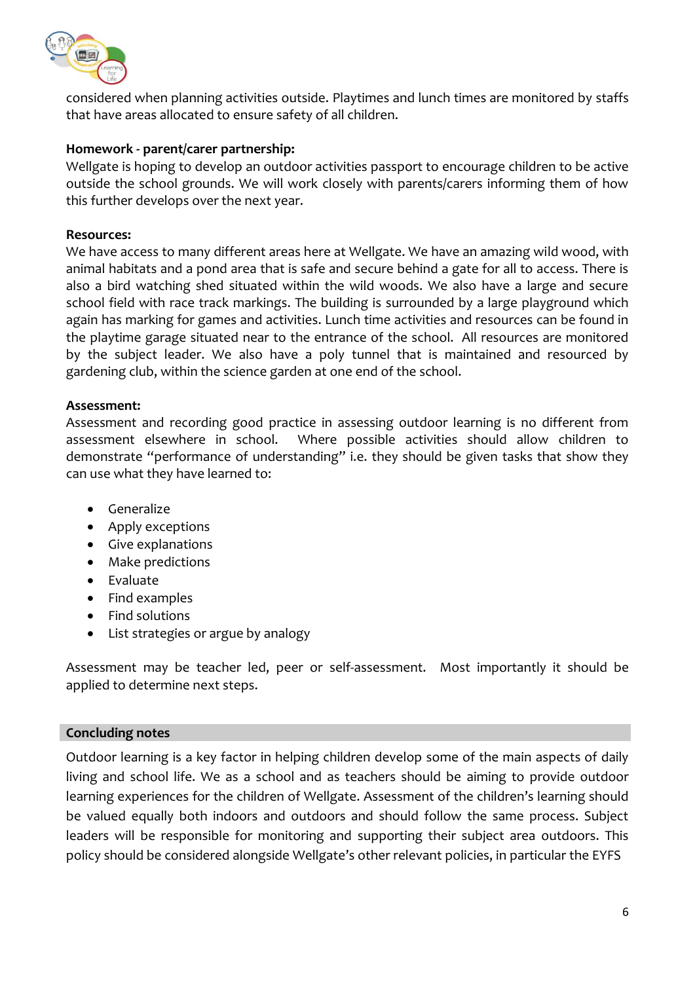

considered when planning activities outside. Playtimes and lunch times are monitored by staffs that have areas allocated to ensure safety of all children.

## **Homework - parent/carer partnership:**

Wellgate is hoping to develop an outdoor activities passport to encourage children to be active outside the school grounds. We will work closely with parents/carers informing them of how this further develops over the next year.

#### **Resources:**

We have access to many different areas here at Wellgate. We have an amazing wild wood, with animal habitats and a pond area that is safe and secure behind a gate for all to access. There is also a bird watching shed situated within the wild woods. We also have a large and secure school field with race track markings. The building is surrounded by a large playground which again has marking for games and activities. Lunch time activities and resources can be found in the playtime garage situated near to the entrance of the school. All resources are monitored by the subject leader. We also have a poly tunnel that is maintained and resourced by gardening club, within the science garden at one end of the school.

### **Assessment:**

Assessment and recording good practice in assessing outdoor learning is no different from assessment elsewhere in school. Where possible activities should allow children to demonstrate "performance of understanding" i.e. they should be given tasks that show they can use what they have learned to:

- Generalize
- Apply exceptions
- Give explanations
- Make predictions
- Evaluate
- Find examples
- Find solutions
- List strategies or argue by analogy

Assessment may be teacher led, peer or self-assessment. Most importantly it should be applied to determine next steps.

## **Concluding notes**

Outdoor learning is a key factor in helping children develop some of the main aspects of daily living and school life. We as a school and as teachers should be aiming to provide outdoor learning experiences for the children of Wellgate. Assessment of the children's learning should be valued equally both indoors and outdoors and should follow the same process. Subject leaders will be responsible for monitoring and supporting their subject area outdoors. This policy should be considered alongside Wellgate's other relevant policies, in particular the EYFS